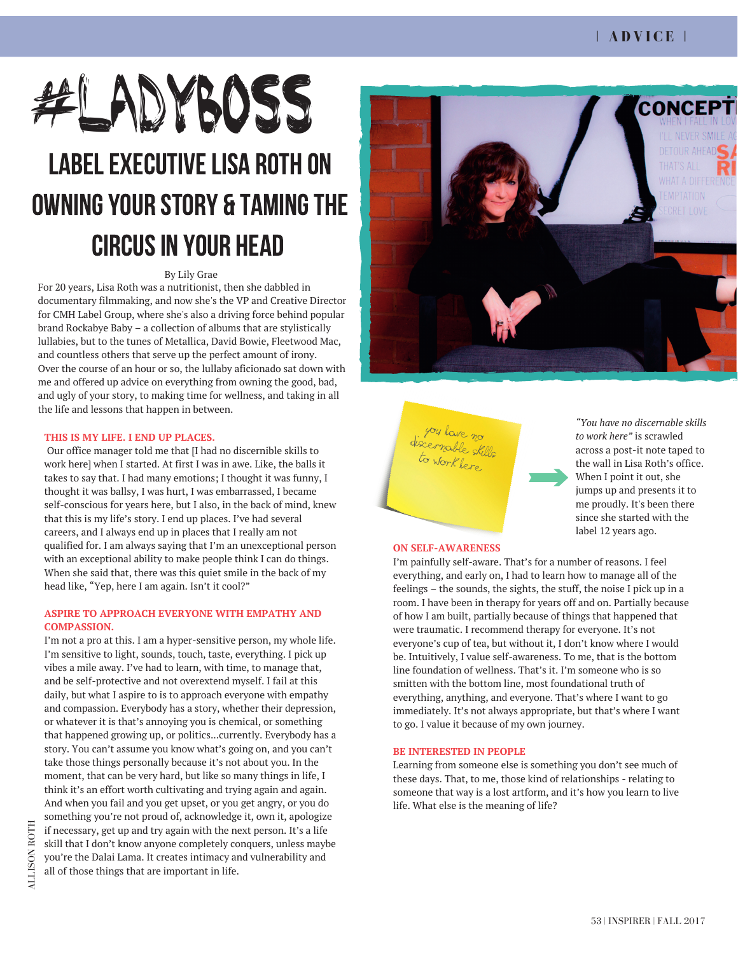# LABELEXECUTIVELISA ROTH ON OWNINGYOUR STORY & TAMINGTHE CIRCUS IN YOUR HEAD #LADYBOSS

# By Lily Grae

For 20 years, Lisa Roth was a nutritionist, then she dabbled in documentary filmmaking, and now she's the VP and Creative Director for CMH Label Group, where she's also a driving force behind popular brand Rockabye Baby – a collection of albums that are stylistically lullabies, but to the tunes of Metallica, David Bowie, Fleetwood Mac, and countless others that serve up the perfect amount of irony. Over the course of an hour or so, the lullaby aficionado sat down with me and offered up advice on everything from owning the good, bad, and ugly of your story, to making time for wellness, and taking in all the life and lessons that happen in between.

# **THIS IS MY LIFE. I END UP PLACES.**

Our office manager told me that [I had no discernible skills to work here] when I started. At first I was in awe. Like, the balls it takes to say that. I had many emotions; I thought it was funny, I thought it was ballsy, I was hurt, I was embarrassed, I became self-conscious for years here, but I also, in the back of mind, knew that this is my life's story. I end up places. I've had several careers, and I always end up in places that I really am not qualified for. I am always saying that I'm an unexceptional person with an exceptional ability to make people think I can do things. When she said that, there was this quiet smile in the back of my head like, "Yep, here I am again. Isn't it cool?"

### **ASPIRE TO APPROACH EVERYONE WITH EMPATHY AND COMPASSION.**

 you're the Dalai Lama. It creates intimacy and vulnerability and skill that I don't know anyone completely conquers, unless maybe if necessary, get up and try again with the next person. It's a life I'm not a pro at this. I am a hyper-sensitive person, my whole life. I'm sensitive to light, sounds, touch, taste, everything. I pick up vibes a mile away. I've had to learn, with time, to manage that, and be self-protective and not overextend myself. I fail at this daily, but what I aspire to is to approach everyone with empathy and compassion. Everybody has a story, whether their depression, or whatever it is that's annoying you is chemical, or something that happened growing up, or politics...currently. Everybody has a story. You can't assume you know what's going on, and you can't take those things personally because it's not about you. In the moment, that can be very hard, but like so many things in life, I think it's an effort worth cultivating and trying again and again. And when you fail and you get upset, or you get angry, or you do something you're not proud of, acknowledge it, own it, apologize all of those things that are important in life.





*"You have no discernable skills to work here"* is scrawled across a post-it note taped to the wall in Lisa Roth's office. When I point it out, she jumps up and presents it to me proudly. It's been there since she started with the label 12 years ago.

### **ON SELF-AWARENESS**

I'm painfully self-aware. That's for a number of reasons. I feel everything, and early on, I had to learn how to manage all of the feelings – the sounds, the sights, the stuff, the noise I pick up in a room. I have been in therapy for years off and on. Partially because of how I am built, partially because of things that happened that were traumatic. I recommend therapy for everyone. It's not everyone's cup of tea, but without it, I don't know where I would be. Intuitively, I value self-awareness. To me, that is the bottom line foundation of wellness. That's it. I'm someone who is so smitten with the bottom line, most foundational truth of everything, anything, and everyone. That's where I want to go immediately. It's not always appropriate, but that's where I want to go. I value it because of my own journey.

#### **BE INTERESTED IN PEOPLE**

Learning from someone else is something you don't see much of these days. That, to me, those kind of relationships - relating to someone that way is a lost artform, and it's how you learn to live life. What else is the meaning of life?